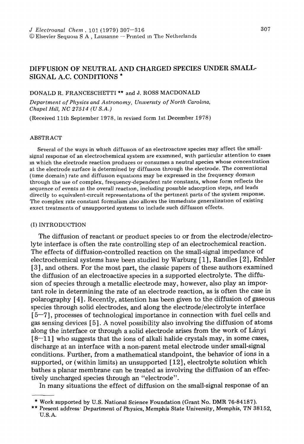# **DIFFUSION OF NEUTRAL AND CHARGED SPECIES UNDER SMALL-SIGNAL A.C. CONDITIONS \***

DONALD **R.** FRANCESCHETTI \*\* and J. ROSS MACDONALD

Department of Physics and Astronomy, University of North Carolina, *Chapel Hdl, NC 27514 (U S.A.)* 

(Received llth September 1978, in revised form 1st December 1978)

### ABSTRACT

Several of the ways in which diffusion of an electroactive species may affect the smallsignal response of an electrochemical system are examined, with particular attention to cases m which the electrode reaction produces or consumes a neutral species whose concentration at the electrode surface is determined by diffusion through the electrode. The conventional (time domain) rate and diffusion equations may be expressed in the frequency domain through the use of complex, frequency-dependent rate constants, whose form reflects the sequence of events in the overall reaction, including posmble adsorption steps, and leads directly to equivalent-circuit representations of the pertinent parts of the system response. The complex rate constant formalism also allows the immediate generalization of existing exact treatments of unsupported systems to include such diffusion effects.

#### (I) INTRODUCTION

The diffusion of reactant or product species to or from the electrode/electrolyte interface is often the rate controlling step of an electrochemical reaction. The effects of diffusion-controlled reaction on the small-signal impedance of electrochemical systems have been studied by Warburg [ 1], Randles [2], Ershler [3 ], and others. For the most part, the classic papers of these authors examined the diffusion of an electroactive species in a supported electrolyte. The diffusion of species through a metallic electrode may, however, also play an important role in determining the rate of an electrode reaction, as is often the case in polarography [4]. Recently, attention has been given to the diffusion of gaseous species through solid electrodes, and along the electrode/electrolyte interface **[** 5--7], processes of technological importance in connection with fuel cells and gas sensing devices [ 5]. A novel possibility also involving the diffusion of atoms along the interface or through a solid electrode arises from the work of Lányi [8-11] who suggests that the ions of alkali halide crystals may, in some cases, discharge at an interface with a non-parent metal electrode under small-signal conditions. Further, from a mathematical standpoint, the behavior of ions in a supported, or (within limits) an unsupported [ 12], electrolyte solution which bathes a planar membrane can be treated as involving the diffusion of an effectively uncharged species through an "electrode".

In many situations the effect of diffusion on the small-signal response of an

<sup>\*</sup> Work supported by U.S. National Science Foundation (Grant No. DMR 76-84187).

<sup>\*\*</sup> Present address<sup>.</sup> Department of Physics, Memphis State University, Memphis, TN 38152, U.S.A.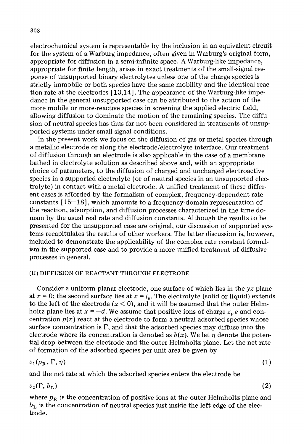electrochemical system is representable by the inclusion in an equivalent circuit for the system of a Warburg impedance, often given in Warburg's original form, appropriate for diffusion in a semi-infinite space. A Warburg-like impedance, appropriate for finite length, arises in exact treatments of the small-signal response of unsupported binary electrolytes unless one of the charge species is strictly immobile or both species have the same mobility and the identical reaction rate at the electrodes [13,14]. The appearance of the Warburg-like impedance in the general unsupported case can be attributed to the action of the more mobile or more-reactive species in screening the applied electric field, allowing diffusion to dominate the motion of the remaining species. The diffusion of neutral species has thus far not been considered in treatments of unsupported systems under small-signal conditions.

In the present work we focus on the diffusion of gas or metal species through a metallic electrode or along the electrode/electrolyte interface. Our treatment of diffusion through an electrode is also applicable in the case of a membrane bathed in electrolyte solution as described above and, with an appropriate choice of parameters, to the diffusion of charged and uncharged electroactive species in a supported electrolyte (or of neutral species in an unsupported electrolyte) in contact with a metal electrode. A unified treatment of these different cases is afforded by the formalism of complex, frequency-dependent rate constants  $[15-18]$ , which amounts to a frequency-domain representation of the reaction, adsorption, and diffusion processes characterized in the time dommn by the usual real rate and diffusion constants. Although the results to be presented for the unsupported case are original, our discussion of supported systems recapitulates the results of other workers. The latter discussion is, however, included to demonstrate the applicability of the complex rate constant formalism in the supported case and to provide a more unified treatment of diffusive processes in general.

### (II) DIFFUSION OF REACTANT THROUGH ELECTRODE

Consider a uniform planar electrode, one surface of which lies in the *yz* plane at  $x = 0$ ; the second surface lies at  $x = l_e$ . The electrolyte (solid or liquid) extends to the left of the electrode  $(x < 0)$ , and it will be assumed that the outer Helmholtz plane lies at  $x = -d$ . We assume that positive ions of charge  $z_p e$  and concentration  $p(x)$  react at the electrode to form a neutral adsorbed species whose surface concentration is  $\Gamma$ , and that the adsorbed species may diffuse into the electrode where its concentration is denoted as  $b(x)$ . We let  $\eta$  denote the potential drop between the electrode and the outer Helmholtz plane. Let the net rate of formation of the adsorbed species per unit area be given by

$$
v_1(p_R, \Gamma, \eta) \tag{1}
$$

and the net rate at which the adsorbed species enters the electrode be

$$
v_2(\Gamma, b_{\rm L}) \tag{2}
$$

where  $p_R$  is the concentration of positive ions at the outer Helmholtz plane and  $b<sub>L</sub>$  is the concentration of neutral species just inside the left edge of the electrode.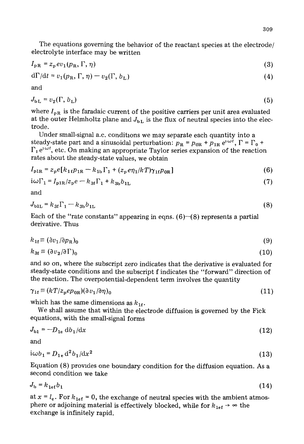The equations governing the behavior of the reactant species at the electrode/ electrolyte interface may be written

$$
I_{\text{pR}} = z_{\text{p}} ev_1(p_{\text{R}}, \Gamma, \eta) \tag{3}
$$

$$
d\Gamma/dt = v_1(p_R, \Gamma, \eta) - v_2(\Gamma, b_L)
$$
\n(4)

and

$$
J_{\mathrm{bL}} = v_2(\Gamma, b_{\mathrm{L}}) \tag{5}
$$

where  $I_{pR}$  is the faradaic current of the positive carriers per unit area evaluated at the outer Helmholtz plane and  $J_{\text{bL}}$  is the flux of neutral species into the electrode.

Under small-signal a.c. conditions we may separate each quantity into a steady-state part and a sinusoidal perturbation:  $p_R = p_{0R} + p_{1R} e^{i\omega t}$ ,  $\Gamma = \Gamma_0 +$  $\Gamma_1$  e<sup>1  $\omega$ t, etc. On making an appropriate Taylor series expansion of the reaction</sup> rates about the steady-state values, we obtain

$$
I_{\rm p1R} = z_{\rm p} e[k_{1f}p_{1R} - k_{1b}\Gamma_1 + (z_{\rm p}e\eta_1/kT)\gamma_{1f}p_{0R}]
$$
\n(6)

$$
i\omega\Gamma_1 = I_{p1R}/z_p e - k_{3f}\Gamma_1 + k_{3b}b_{1L}
$$
\n(7)

and

$$
J_{\text{b1L}} = k_{3f} \Gamma_1 - k_{3b} b_{1L} \tag{8}
$$

Each of the "rate constants" appearing in eqns.  $(6)$ - $(8)$  represents a partial derivative. Thus

$$
k_{1f} \equiv (\partial v_1 / \partial p_R)_0 \tag{9}
$$

$$
k_{3f} \equiv (\partial v_2/\partial \Gamma)_0 \tag{10}
$$

and so on, where the subscript zero indicates that the derivative is evaluated for steady-state conditions and the subscript f indicates the "forward" direction of the reaction. The overpotential-dependent term involves the quantity

$$
\gamma_{1f} \equiv (kT/z_{p}ep_{0R})(\partial v_{1}/\partial \eta)_{0}
$$
\n(11)

which has the same dimensions as  $k_{1f}$ .

We shall assume that within the electrode diffusion is governed by the Fick equations, with the small-signal forms

$$
J_{b1} = -D_{1e} \, \mathrm{d}b_1/\mathrm{d}x \tag{12}
$$

*and* 

$$
i\omega b_1 = D_{1e} d^2 b_1/dx^2 \tag{13}
$$

Equation (8) provides one boundary condition for the diffusion equation. As a second condition we take

$$
J_{\rm b} = k_{1\rm e f} b_1 \tag{14}
$$

at  $x = l_e$ . For  $k_{1e f} = 0$ , the exchange of neutral species with the ambient atmosphere or adjoining material is effectively blocked, while for  $k_{1 \text{ef}} \rightarrow \infty$  the exchange is infinitely rapid.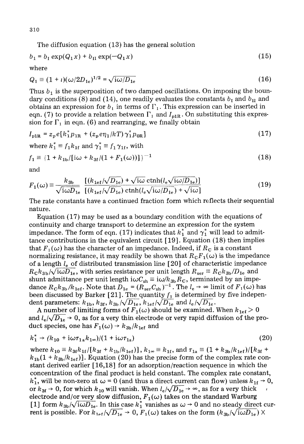The diffusion equation (13) has the general solution

$$
b_1 = b_1 \exp(Q_1 x) + b_{11} \exp(-Q_1 x) \tag{15}
$$

where

$$
Q_1 = (1 + i)(\omega/2D_{1e})^{1/2} = \sqrt{i\omega/D_{1e}}
$$
 (16)

Thus  $b_1$  is the superposition of two damped oscillations. On imposing the boundary conditions (8) and (14), one readily evaluates the constants  $b<sub>I</sub>$  and  $b<sub>II</sub>$  and obtains an expression for  $b_1$  in terms of  $\Gamma_1$ . This expression can be inserted in eqn. (7) to provide a relation between  $\Gamma_1$  and  $I_{\text{nlR}}$ . On substituting this expression for  $\Gamma_1$  in eqn. (6) and rearranging, we finally obtain

$$
I_{\rm p1R} = z_p e[k_1^* p_{1R} + (z_p e \eta_1 / kT) \gamma_1^* p_{0R}]
$$
\n(17)

where 
$$
k_1^* \equiv f_1 k_{1f}
$$
 and  $\gamma_1^* \equiv f_1 \gamma_{1f}$ , with  
\n
$$
f_1 \equiv \{1 + k_{1b}/[i\omega + k_{3f}/(1 + F_1(\omega))]\}^{-1}
$$
\n(18)

and

$$
F_1(\omega) \equiv \frac{k_{3b}}{\sqrt{i\omega D_{1e}}} \frac{\left[ (k_{1ef}/\sqrt{D_{1e}}) + \sqrt{i\omega} \coth(l_e\sqrt{i\omega/D_{1e}}) \right]}{\left[ (k_{1ef}/\sqrt{D_{1e}}) \coth(l_e\sqrt{i\omega/D_{1e}}) + \sqrt{i\omega} \right]}
$$
(19)

The rate constants have a continued fraction form which reflects their sequential nature.

Equation (17) may be used as a boundary condition with the equations of continuity and charge transport to determine an expression for the system impedance. The form of eqn. (17) indicates that  $k_1^*$  and  $\gamma_1^*$  will lead to admittance contributions in the equivalent circuit [ 19 ]. Equation (18) then implies that  $F_1(\omega)$  has the character of an impedance. Indeed, if  $R_c$  is a constant normalizing resistance, it may readily be shown that  $R_{\rm C}F_1(\omega)$  is the impedance of a length  $l_e$  of distributed transmission line [20] of characteristic impedance  $R_{\rm c}k_{3b}/\sqrt{\mathrm{i}\omega D_{1e}}$ , with series resistance per unit length  $R_{\rm ser} \equiv R_{\rm c}k_{3b}/D_{1e}$  and shunt admittance per unit length  $i\omega C_{sh} \equiv i\omega/k_{3b}R_c$ , terminated by an impedance  $R_C k_{3b}/k_{1ef}$ . Note that  $D_{1e} = (R_{ser} C_{sh})^{-1}$ . The  $l_e \rightarrow \infty$  limit of  $F_1(\omega)$  has been discussed by Barker [21]. The quantity  $f_1$  is determined by five independent parameters:  $k_{1b}$ ,  $k_{3f}$ ,  $k_{3b}/\sqrt{D_{1e}}$ ,  $k_{1ef}/\sqrt{D_{1e}}$  and  $l_e/\sqrt{D_{1e}}$ .

A number of limiting forms of  $F_1(\omega)$  should be examined. When  $k_{1\text{ef}} > 0$ and  $l_e/\sqrt{D_{1e}} \rightarrow 0$ , as for a very thin electrode or very rapid diffusion of the product species, one has  $F_1(\omega) \rightarrow k_{3b}/k_{1ef}$  and

$$
k_1^* \to (k_{10} + i\omega \tau_{1a} k_{1\infty})/(1 + i\omega \tau_{1a})
$$
\n(20)

where  $k_{10} \equiv k_{3f}k_{1f}/[k_{3f} + k_{1b}/k_{1ef})]$ ,  $k_{1\infty} \equiv k_{1f}$ , and  $\tau_{1a} \equiv (1 + k_{3b}/k_{1ef})/[k_{3f} + k_{1b}/k_{1ef}]$  $k_{1b}(1 + k_{3b}/k_{1ef})$ . Equation (20) has the precise form of the complex rate constant derived earlier [ 16,18] for an adsorption/reaction sequence in which the concentration of the final product is held constant. The complex rate constant,  $k_1^*$ , will be non-zero at  $\omega = 0$  (and thus a direct current can flow) unless  $k_{1f} \rightarrow 0$ , or  $k_{3f} \rightarrow 0$ , for which  $k_{10}$  will vanish. When  $l_e / \sqrt{D_{1e}} \rightarrow \infty$ , as for a very thick  $\cdots$ electrode and/or very slow diffusion,  $F_1(\omega)$  takes on the standard Warburg [1] form  $k_{3b}/\sqrt{\mathrm{i}\omega D_{1e}}$ . In this case  $k_{1}^{*}$  vanishes as  $\omega \rightarrow 0$  and no steady direct current is possible. For  $k_{1 \text{e} \text{f}}/\sqrt{D_{1e}} \rightarrow 0$ ,  $F_1(\omega)$  takes on the form  $(k_{3b}/\sqrt{\text{i}\omega D_{1e}})$  X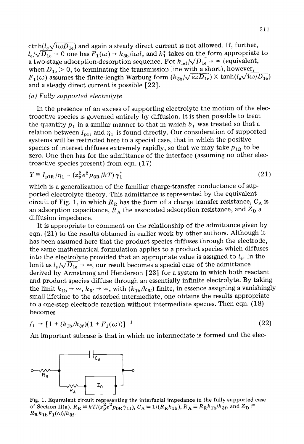$\text{ctnh}(l_e\sqrt{\text{i}\omega D_{1e}})$  and again a steady direct current is not allowed. If, further,  $l_e/\sqrt{D_{1e}} \rightarrow 0$  one has  $F_1(\omega) \rightarrow k_{3b}/i\omega l_e$  and  $k_1^*$  takes on the form appropriate to a two-stage adsorption-desorption sequence. For  $k_{\text{left}}/\sqrt{D_{1e}} \rightarrow \infty$  (equivalent, when  $D_{1e} > 0$ , to terminating the transmission line with a short), however,  $F_1(\omega)$  assumes the finite-length Warburg form  $(k_{3b}/\sqrt{\mathrm{i}\omega D_{1e}}) \times \tanh(l_e\sqrt{\mathrm{i}\omega/D_{1e}})$ and a steady direct current is possible [22].

#### *(a) Fully supported electrolyte*

In the presence of an excess of supporting electrolyte the motion of the electroactive species is governed entirely by diffusion. It is then possible to treat the quantity  $p_1$  in a similar manner to that in which  $b_1$  was treated so that a relation between  $I_{p1f}$  and  $\eta_1$  is found directly. Our consideration of supported systems will be restricted here to a special case, that in which the positive species of interest diffuses extremely rapidly, so that we may take  $p_{1R}$  to be zero. One then has for the admittance of the interface (assuming no other electroactive species present) from eqn. (17)

$$
Y \equiv I_{\rm p1R}/\eta_1 = (z_p^2 e^2 p_{\rm 0R}/kT) \gamma_1^*
$$
 (21)

which is a generalization of the familiar charge-transfer conductance of supported electrolyte theory. This admittance is represented by the equivalent circuit of Fig. 1, in which  $R_R$  has the form of a charge transfer resistance,  $C_A$  is an adsorption capacitance,  $R_A$  the associated adsorption resistance, and  $Z_D$  a diffusion impedance.

It is appropriate to comment on the relationship of the admittance given by eqn. (21) to the results obtained in earlier work by other authors. Although it has been assumed here that the product species diffuses through the electrode, the same mathematical formulation applies to a product species which diffuses into the electrolyte provided that an appropriate value is assigned to  $l_e$ . In the limit as  $l_e/\sqrt{D_{1e}} \rightarrow \infty$ , our result becomes a special case of the admittance derived by Armstrong and Henderson [ 23] for a system in which both reactant and product species diffuse through an essentially infinite electrolyte. By taking the limit  $k_{1b} \rightarrow \infty$ ,  $k_{3f} \rightarrow \infty$ , with  $(k_{1b}/k_{3f})$  finite, in essence assigning a vanishingly small lifetime to the adsorbed intermediate, one obtains the results appropriate to a one-step electrode reaction without intermediate species. Then eqn.  $(18)$ becomes

$$
f_1 \to [1 + (k_{1b}/k_{3f})(1 + F_1(\omega))]^{-1} \tag{22}
$$

An important subcase is that in which no intermediate is formed and the elec-



Fig. 1. Equivalent circuit representing the interfacial impedance in the fully supported case of Section II(a).  $R_R \equiv kT/(z_p^2e^2p_{0R}\gamma_{1f}),$   $C_{\rm A} \equiv 1/(R_Rk_{1\rm b}),$   $R_{\rm A} \equiv R_Rk_{1\rm b}/k_{3f},$  and  $Z_{\rm D}$  $R_R k_{1b} F_1(\omega)/k_{3f}$ .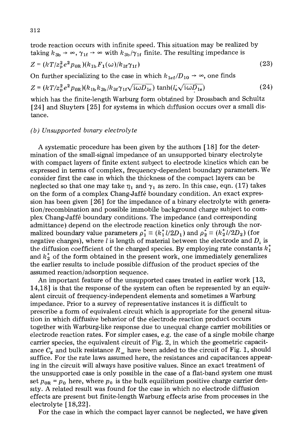trode reaction occurs with infinite speed. This situation may be realized by taking  $k_{3b} \rightarrow \infty$ ,  $\gamma_{1f} \rightarrow \infty$  with  $k_{3b}/\gamma_{1f}$  finite. The resulting impedance is

$$
Z = (kT/z_p^2 e^2 p_{0R}) (k_{1b} F_1(\omega) / k_{3f} \gamma_{1f})
$$
\n(23)

On further specializing to the case in which  $k_{1ef}/D_{10} \rightarrow \infty$ , one finds

$$
Z = (kT/z_p^2 e^2 p_{0R})(k_{1b}k_{3b}/k_{3f}\gamma_{1f}\sqrt{\mathrm{i}\omega D_{1e}})\tanh(l_e\sqrt{\mathrm{i}\omega D_{1e}})
$$
 (24)

which has the finite-length Warburg form obtained by Drossbach and Schultz [ 24] and Sluyters [ 25] for systems in which diffusion occurs over a small distance.

# *(b) Unsupported b~nary electrolyte*

A systematic procedure has been given by the authors [18] for the determination of the small-signal impedance of an unsupported binary electrolyte with compact layers of finite extent subject to electrode kinetics which can be expressed in terms of complex, frequency-dependent boundary parameters. We consider first the case in which the thickness of the compact layers can be neglected so that one may take  $\eta_1$  and  $\gamma_1$  as zero. In this case, eqn. (17) takes on the form of a complex Chang-Jaffé boundary condition. An exact expression has been given [ 26] for the impedance of a binary electrolyte with generation/recombination and possible immobile background charge subject to complex Chang-Jaffé boundary conditions. The impedance (and corresponding admittance) depend on the electrode reaction kinetics only through the nor malized boundary value parameters  $\rho_1^*\equiv (k_1^* l/2D_1)$  and  $\rho_2^*\equiv (k_2^* l/2D_2)$  (for negative charges), where l is length of material between the electrode and  $D<sub>1</sub>$  is the diffusion coefficient of the charged species. By employing rate constants  $k_1^*$ and  $k_2^*$  of the form obtained in the present work, one immediately generalizes the earlier results to include possible diffusion of the product species of the assumed reaction/adsorption sequence.

An important feature of the unsupported cases treated in earlier work [ 13, 14,18] is that the response of the system can often be represented by an equivalent circuit of frequency-independent elements and sometimes a Warburg impedance. Prior to a survey of representative instances it is difficult to prescribe a form of equivalent circuit which is appropriate for the general situation in which diffusive behavior of the electrode reaction product occurs together with Warburg-like response due to unequal charge carrier mobilities or electrode reaction rates. For simpler cases, e.g. the case of a single mobile charge carrier species, the equivalent circuit of Fig. 2, in which the geometric capacitance  $C_{\rm g}$  and bulk resistance  $R_{\rm m}$  have been added to the circuit of Fig. 1, should suffice. For the rate laws assumed here, the resistances and capacitances appearing in the circuit will always have positive values. Since an exact treatment of the unsupported case is only possible in the case of a flat-band system one must set  $p_{0R} = p_0$  here, where  $p_0$  is the bulk equilibrium positive charge carrier density. A related result was found for the case in which no electrode diffusion effects are present but finite-length Warburg effects arise from processes in the electrolyte [ 18,22].

For the case in which the compact layer cannot be neglected, we have given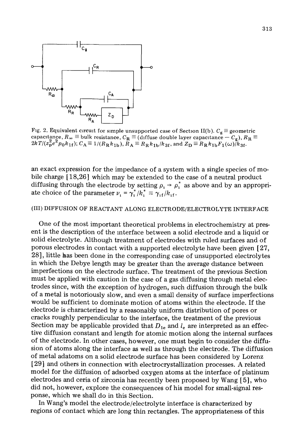

Fig. 2. Equivalent circuit for simple unsupported case of Section II(b).  $C_g \equiv$  geometric capacitance,  $R_{\infty} \equiv$  bulk resistance,  $C_{\rm R} \equiv$  (diffuse double layer capacitance  $-C_{\rm g}$ ),  $R_{\rm R} \equiv$  $2kT/(z_{\rm p}^2e^{-t}p_0k_{1\rm f});$   $C_{\rm A} = 1/(R_{\rm R}k_{1\rm b})$ ,  $R_{\rm A} = R_{\rm R}k_{1\rm b}/k_{3\rm f}$ , and  $Z_{\rm D} = R_{\rm R}k_{1\rm b}F_{1}(\omega)/k_{3\rm f}$ 

an exact expression for the impedance of a system with a single species of mobile charge [ 18,26] which may be extended to the case of a neutral product diffusing through the electrode by setting  $\rho_1 \rightarrow \rho_1^*$  as above and by an appropriate choice of the parameter  $v_1 = \gamma_1^* / k_1^* \equiv \gamma_{1f}/k_{1f}$ .

# (III) DIFFUSION OF REACTANT ALONG ELECTRODE/ELECTROLYTE INTERFACE

One of the most important theoretical problems in electrochemistry at present is the description of the interface between a solid electrode and a liquid or solid electrolyte. Although treatment of electrodes with ruled surfaces and of porous electrodes in contact with a supported electrolyte have been given [ 27, 28], little has been done in the corresponding case of unsupported electrolytes in which the Debye length may be greater than the average distance between imperfections on the electrode surface. The treatment of the previous Section must be applied with caution in the case of a gas diffusing through metal electrodes since, with the exception of hydrogen, such diffusion through the bulk of a metal is notoriously slow, and even a small density of surface imperfections would be sufficient to dominate motion of atoms within the electrode. If the electrode is characterized by a reasonably uniform distribution of pores or cracks roughly perpendicular to the interface, the treatment of the previous Section may be applicable provided that  $D_{1e}$  and  $l_e$  are interpreted as an effective diffusion constant and length for atomic motion along the internal surfaces of the electrode. In other cases, however, one must begin to consider the diffusion of atoms along the interface as well as through the electrode. The diffusion of metal adatoms on a solid electrode surface has been considered by Lorenz [ 29] and others in connection with electrocrystallization processes. A related model for the diffusion of adsorbed oxygen atoms at the interface of platinum electrodes and ceria of zirconia has recently been proposed by Wang [ 5], who did not, however, explore the consequences of his model for small-signal response, which we shall do in this Section.

In Wang's model the electrode/electrolyte interface is characterized by regions of contact which are long thin rectangles. The appropriateness of this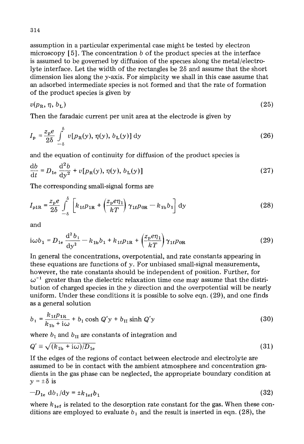assumption in a particular experimental case might be tested by electron microscopy [5]. The concentration b of the product species at the interface is assumed to be governed by diffusion of the species along the metal/electrolyte interface. Let the width of the rectangles be  $2\delta$  and assume that the short dimension lies along the  $\gamma$ -axis. For simplicity we shall in this case assume that an adsorbed intermediate species is not formed and that the rate of formation of the product species is given by

$$
v(p_{\rm R}, \eta, b_{\rm L}) \tag{25}
$$

Then the faradaic current per unit area at the electrode is given by

$$
I_{\mathbf{p}} = \frac{z_{\mathbf{p}}e}{2\delta} \int_{-\delta}^{\delta} v[p_{\mathbf{R}}(y), \eta(y), b_{\mathbf{L}}(y)] dy
$$
 (26)

and the equation of continuity for diffusion of the product species is

$$
\frac{\mathrm{d}b}{\mathrm{d}t} = D_{1e} \frac{\mathrm{d}^2 b}{\mathrm{d}y^2} + v[p_R(y), \eta(y), b_L(y)] \tag{27}
$$

The corresponding small-signal forms are

$$
I_{\text{p1R}} = \frac{z_{\text{p}}e}{2\delta} \int_{-\delta}^{\delta} \left[ k_{1\text{f}} p_{1\text{R}} + \left( \frac{z_{\text{p}} e \eta_1}{k} \right) \gamma_{1\text{f}} p_{0\text{R}} - k_{1\text{b}} b_1 \right] dy \tag{28}
$$

and

$$
i\omega b_1 = D_{1e} \frac{d^2 b_1}{dy^2} - k_{1b} b_1 + k_{1f} p_{1R} + \left(\frac{z_p e \eta_1}{kT}\right) \gamma_{1f} p_{0R}
$$
 (29)

In general the concentrations, overpotential, and rate constants appearing in these equations are functions of  $y$ . For unbiased small-signal measurements, however, the rate constants should be independent of position. Further, for  $\omega^{-1}$  greater than the dielectric relaxation time one may assume that the distribution of charged species in the  $\gamma$  direction and the overpotential will be nearly uniform. Under these conditions it is possible to solve eqn. (29), and one finds as a general solution

$$
b_1 = \frac{k_{1f}p_{1R}}{k_{1b} + i\omega} + b_1 \cosh Q'y + b_{1I} \sinh Q'y \tag{30}
$$

where  $b_{\rm I}$  and  $b_{\rm II}$  are constants of integration and

$$
Q' \equiv \sqrt{(k_{1b} + i\omega)/D_{1e}}\tag{31}
$$

If the edges of the regions of contact between electrode and electrolyte are assumed to be in contact with the ambient atmosphere and concentration gradients in the gas phase can be neglected, the appropriate boundary condition at  $y=\pm\delta$  is

$$
-D_{1e} db_1/dy = \pm k_{1ef}b_1 \tag{32}
$$

 $\overline{a}$ 

where  $k_{1}$  is related to the desorption rate constant for the gas. When these conditions are employed to evaluate  $b_1$  and the result is inserted in eqn. (28), the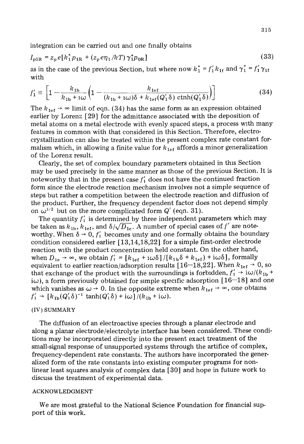integration can be carried out and one finally obtains

$$
I_{\rm p1R} = z_{\rm p} e [h_1^* p_{1R} + (z_{\rm p} e \eta_1 / kT) \gamma_1^* p_{0R}]
$$
\n(33)

as in the case of the previous Section, but where now  $k_1^* = f_1' k_{1f}$  and  $\gamma_1^* = f_1' \gamma_{1f}$ with

$$
f_1' \equiv \left[1 - \frac{k_{1b}}{k_{1b} + 1\omega} \left(1 - \frac{k_{1ef}}{(k_{1b} + 1\omega)\delta + k_{1ef}(Q_1'\delta) \coth(Q_1'\delta)}\right)\right]
$$
(34)

The  $k_{1} \rightarrow \infty$  limit of eqn. (34) has the same form as an expression obtained earlier by Lorenz [ 29] for the admittance associated with the deposition of metal atoms on a metal electrode with evenly spaced steps, a process with many features in common with that considered in this Section. Therefore, electrocrystallization can also be treated within the present complex rate constant formalism which, in allowing a finite value for  $k_{1\text{ef}}$  affords a minor generalization of the Lorenz result.

Clearly, the set of complex boundary parameters obtained in this Section may be used precisely in the same manner as those of the previous Section. It is noteworthy that in the present case  $f'_{1}$  does not have the continued fraction form since the electrode reaction mechanism involves not a simple sequence of steps but rather a competition between the electrode reaction and diffusion of the product. Further, the frequency dependent factor does not depend simply on  $\omega^{1/2}$  but on the more complicated form  $Q'$  (eqn. 31).

The quantity  $f'_{1}$  is determined by three independent parameters which may be taken as  $k_{1b}$ ,  $k_{1ef}$ , and  $\delta/\sqrt{D_{1e}}$ . A number of special cases of f' are noteworthy. When  $\delta \to 0, f'_{1}$  becomes unity and one formally obtains the boundary condition considered earlier [13,14,18,22] for a simple first-order electrode reaction with the product concentration held constant. On the other hand, when  $D_{1e} \rightarrow \infty$ , we obtain  $f' = [k_{1ef} + i\omega\delta]/[k_{1b}\delta + k_{1ef}) + i\omega\delta]$ , formally equivalent to earlier reaction/adsorption results [16-18,22]. When  $k_{1e f} \rightarrow 0$ , so that exchange of the product with the surroundings is forbidden,  $f'_{1} \rightarrow i\omega/(k_{1b} +$  $i\omega$ ), a form previously obtained for simple specific adsorption [16-18] and one which vanishes as  $\omega \rightarrow 0$ . In the opposite extreme when  $k_{1} \rightarrow \infty$ , one obtains  $f'_{1} \rightarrow [k_{1b}(Q'_{1}\delta)^{-1} \tanh(Q'_{1}\delta) + i\omega] / (k_{1b} + i\omega).$ 

# (IV) SUMMARY

The diffusion of an electroactive species through a planar electrode and along a planar electrode/electrolyte interface has been considered. These conditions may be incorporated directly into the present exact treatment of the small-signal response of unsupported systems through the artifice of complex, frequency-dependent rate constants. The authors have incorporated the generalized form of the rate constants into existing computer programs for nonlinear least squares analysis of complex data [ 30] and hope in future work to discuss the treatment of experimental data.

# ACKNOWLEDGMENT

We are most grateful to the National Science Foundation for financial support of this work.